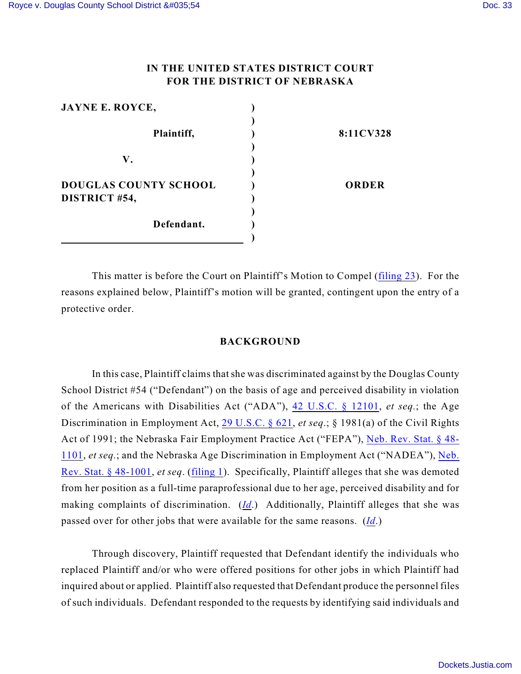# **IN THE UNITED STATES DISTRICT COURT FOR THE DISTRICT OF NEBRASKA**

| <b>JAYNE E. ROYCE,</b>       |              |
|------------------------------|--------------|
|                              |              |
| Plaintiff,                   | 8:11CV328    |
|                              |              |
| V.                           |              |
|                              |              |
| <b>DOUGLAS COUNTY SCHOOL</b> | <b>ORDER</b> |
| DISTRICT #54,                |              |
|                              |              |
| Defendant.                   |              |
|                              |              |

This matter is before the Court on Plaintiff's Motion to Compel [\(filing 23](https://ecf.ned.uscourts.gov/doc1/11312537577)). For the reasons explained below, Plaintiff's motion will be granted, contingent upon the entry of a protective order.

## **BACKGROUND**

In this case, Plaintiff claims that she was discriminated against by the Douglas County School District #54 ("Defendant") on the basis of age and perceived disability in violation of the Americans with Disabilities Act ("ADA"), [42 U.S.C. § 12101](http://www.westlaw.com/find/default.wl?rs=CLWP3.0&vr=2.0&cite=42+USCA+ss+12101), *et seq.*; the Age Discrimination in Employment Act, [29 U.S.C. § 621](http://www.westlaw.com/find/default.wl?rs=CLWP3.0&vr=2.0&cite=29+USCA+ss+621), *et seq*.; § 1981(a) of the Civil Rights Act of 1991; the Nebraska Fair Employment Practice Act ("FEPA"), [Neb. Rev. Stat. § 48-](http://www.westlaw.com/find/default.wl?rs=CLWP3.0&vr=2.0&cite=NE+ST+ss+48-1101) [1101](http://www.westlaw.com/find/default.wl?rs=CLWP3.0&vr=2.0&cite=NE+ST+ss+48-1101), *et seq.*; and the Nebraska Age Discrimination in Employment Act ("NADEA"), [Neb.](http://www.westlaw.com/find/default.wl?rs=CLWP3.0&vr=2.0&cite=NE+ST+ss+48-1001) [Rev. Stat. § 48-1001](http://www.westlaw.com/find/default.wl?rs=CLWP3.0&vr=2.0&cite=NE+ST+ss+48-1001), *et seq*. [\(filing 1](https://ecf.ned.uscourts.gov/doc1/11312362607)). Specifically, Plaintiff alleges that she was demoted from her position as a full-time paraprofessional due to her age, perceived disability and for making complaints of discrimination. (*[Id](https://ecf.ned.uscourts.gov/doc1/11312362607)*.) Additionally, Plaintiff alleges that she was passed over for other jobs that were available for the same reasons. (*[Id](https://ecf.ned.uscourts.gov/doc1/11312362607)*.)

Through discovery, Plaintiff requested that Defendant identify the individuals who replaced Plaintiff and/or who were offered positions for other jobs in which Plaintiff had inquired about or applied. Plaintiff also requested that Defendant produce the personnel files of such individuals. Defendant responded to the requests by identifying said individuals and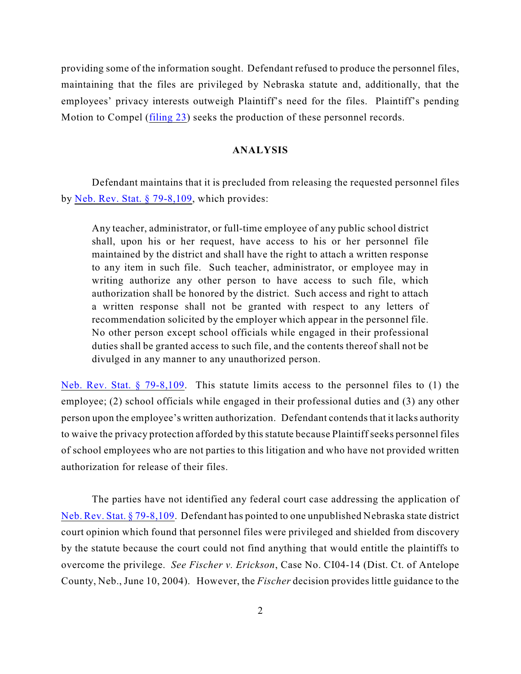providing some of the information sought. Defendant refused to produce the personnel files, maintaining that the files are privileged by Nebraska statute and, additionally, that the employees' privacy interests outweigh Plaintiff's need for the files. Plaintiff's pending Motion to Compel ([filing 23](https://ecf.ned.uscourts.gov/doc1/11312537577)) seeks the production of these personnel records.

## **ANALYSIS**

Defendant maintains that it is precluded from releasing the requested personnel files by [Neb. Rev. Stat. § 79-8,109](http://web2.westlaw.com/find/default.wl?cite=neb.rev.stat.+79-8%2c109&rs=WLW12.04&vr=2.0&rp=%2ffind%2fdefault.wl&utid=3&fn=_top&mt=ReutersNewsUS&sv=Split), which provides:

Any teacher, administrator, or full-time employee of any public school district shall, upon his or her request, have access to his or her personnel file maintained by the district and shall have the right to attach a written response to any item in such file. Such teacher, administrator, or employee may in writing authorize any other person to have access to such file, which authorization shall be honored by the district. Such access and right to attach a written response shall not be granted with respect to any letters of recommendation solicited by the employer which appear in the personnel file. No other person except school officials while engaged in their professional duties shall be granted access to such file, and the contents thereof shall not be divulged in any manner to any unauthorized person.

[Neb. Rev. Stat. § 79-8,109](http://web2.westlaw.com/find/default.wl?cite=neb.rev.stat.+79-8%2c109&rs=WLW12.04&vr=2.0&rp=%2ffind%2fdefault.wl&utid=3&fn=_top&mt=ReutersNewsUS&sv=Split). This statute limits access to the personnel files to (1) the employee; (2) school officials while engaged in their professional duties and (3) any other person upon the employee's written authorization. Defendant contends that it lacks authority to waive the privacy protection afforded by this statute because Plaintiff seeks personnel files of school employees who are not parties to this litigation and who have not provided written authorization for release of their files.

The parties have not identified any federal court case addressing the application of [Neb. Rev. Stat. § 79-8,109](http://web2.westlaw.com/find/default.wl?cite=neb.rev.stat.+79-8%2c109&rs=WLW12.04&vr=2.0&rp=%2ffind%2fdefault.wl&utid=3&fn=_top&mt=ReutersNewsUS&sv=Split). Defendant has pointed to one unpublished Nebraska state district court opinion which found that personnel files were privileged and shielded from discovery by the statute because the court could not find anything that would entitle the plaintiffs to overcome the privilege. *See Fischer v. Erickson*, Case No. CI04-14 (Dist. Ct. of Antelope County, Neb., June 10, 2004). However, the *Fischer* decision provides little guidance to the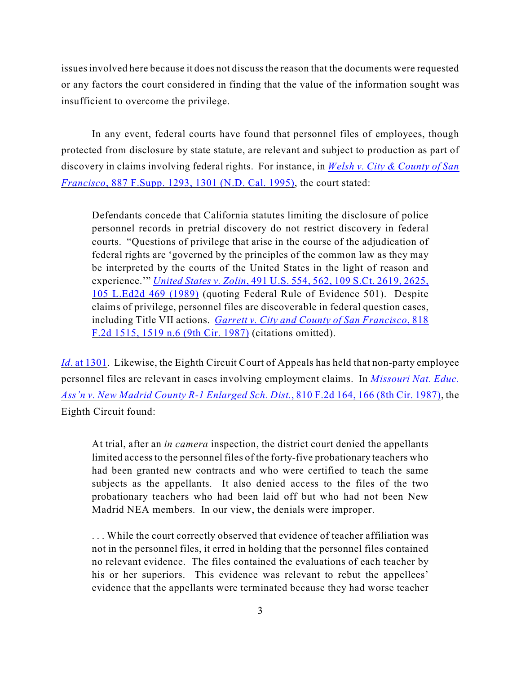issues involved here because it does not discuss the reason that the documents were requested or any factors the court considered in finding that the value of the information sought was insufficient to overcome the privilege.

In any event, federal courts have found that personnel files of employees, though protected from disclosure by state statute, are relevant and subject to production as part of discovery in claims involving federal rights. For instance, in *[Welsh v. City & County of San](http://www.westlaw.com/find/default.wl?rs=CLWP3.0&vr=2.0&cite=887+F.Supp.+1293) Francisco*[, 887 F.Supp. 1293, 1301 \(N.D. Cal. 1995\)](http://www.westlaw.com/find/default.wl?rs=CLWP3.0&vr=2.0&cite=887+F.Supp.+1293), the court stated:

Defendants concede that California statutes limiting the disclosure of police personnel records in pretrial discovery do not restrict discovery in federal courts. "Questions of privilege that arise in the course of the adjudication of federal rights are 'governed by the principles of the common law as they may be interpreted by the courts of the United States in the light of reason and experience.'" *United States v. Zolin*[, 491 U.S. 554, 562, 109 S.Ct. 2619, 2625,](http://www.westlaw.com/find/default.wl?rs=CLWP3.0&vr=2.0&cite=491+U.S.+554) [105 L.Ed2d 469 \(1989\)](http://www.westlaw.com/find/default.wl?rs=CLWP3.0&vr=2.0&cite=491+U.S.+554) (quoting Federal Rule of Evidence 501). Despite claims of privilege, personnel files are discoverable in federal question cases, including Title VII actions. *[Garrett v. City and County of San Francisco](http://www.westlaw.com/find/default.wl?rs=CLWP3.0&vr=2.0&cite=818+F.2d+1515)*, 818 [F.2d 1515, 1519 n.6 \(9th Cir. 1987\)](http://www.westlaw.com/find/default.wl?rs=CLWP3.0&vr=2.0&cite=818+F.2d+1515) (citations omitted).

*Id.* at 1301. Likewise, the Eighth Circuit Court of Appeals has held that non-party employee personnel files are relevant in cases involving employment claims. In *[Missouri Nat. Educ.](http://www.westlaw.com/find/default.wl?rs=CLWP3.0&vr=2.0&cite=810+F.2d+164) [Ass'n v. New Madrid County R-1 Enlarged Sch. Dist.](http://www.westlaw.com/find/default.wl?rs=CLWP3.0&vr=2.0&cite=810+F.2d+164)*, 810 F.2d 164, 166 (8th Cir. 1987), the Eighth Circuit found:

At trial, after an *in camera* inspection, the district court denied the appellants limited access to the personnel files of the forty-five probationary teachers who had been granted new contracts and who were certified to teach the same subjects as the appellants. It also denied access to the files of the two probationary teachers who had been laid off but who had not been New Madrid NEA members. In our view, the denials were improper.

. . . While the court correctly observed that evidence of teacher affiliation was not in the personnel files, it erred in holding that the personnel files contained no relevant evidence. The files contained the evaluations of each teacher by his or her superiors. This evidence was relevant to rebut the appellees' evidence that the appellants were terminated because they had worse teacher